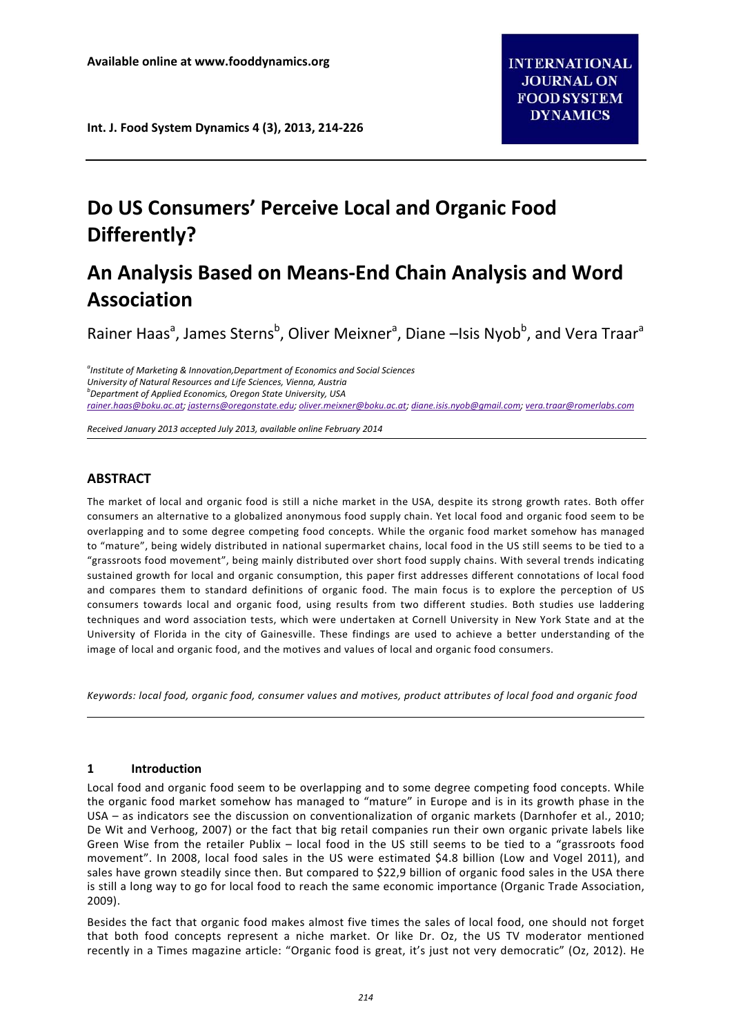**Int. J. Food System Dynamics 4 (3), 2013, 214‐226**

# **Do US Consumers' Perceive Local and Organic Food Differently?**

# **An Analysis Based on Means‐End Chain Analysis and Word Association**

Rainer Haas<sup>a</sup>, James Sterns<sup>b</sup>, Oliver Meixner<sup>a</sup>, Diane –Isis Nyob<sup>b</sup>, and Vera Traar<sup>a</sup>

*a Institute of Marketing & Innovation,Department of Economics and Social Sciences University of Natural Resources and Life Sciences, Vienna, Austria <sup>b</sup> Department of Applied Economics, Oregon State University, USA rainer.haas@boku.ac.at; jasterns@oregonstate.edu; oliver.meixner@boku.ac.at; diane.isis.nyob@gmail.com; vera.traar@romerlabs.com*

*Received January 2013 accepted July 2013, available online February 2014*

## **ABSTRACT**

The market of local and organic food is still a niche market in the USA, despite its strong growth rates. Both offer consumers an alternative to a globalized anonymous food supply chain. Yet local food and organic food seem to be overlapping and to some degree competing food concepts. While the organic food market somehow has managed to "mature", being widely distributed in national supermarket chains, local food in the US still seems to be tied to a "grassroots food movement", being mainly distributed over short food supply chains. With several trends indicating sustained growth for local and organic consumption, this paper first addresses different connotations of local food and compares them to standard definitions of organic food. The main focus is to explore the perception of US consumers towards local and organic food, using results from two different studies. Both studies use laddering techniques and word association tests, which were undertaken at Cornell University in New York State and at the University of Florida in the city of Gainesville. These findings are used to achieve a better understanding of the image of local and organic food, and the motives and values of local and organic food consumers.

Keywords: local food, organic food, consumer values and motives, product attributes of local food and organic food

### **1 Introduction**

Local food and organic food seem to be overlapping and to some degree competing food concepts. While the organic food market somehow has managed to "mature" in Europe and is in its growth phase in the USA – as indicators see the discussion on conventionalization of organic markets (Darnhofer et al., 2010; De Wit and Verhoog, 2007) or the fact that big retail companies run their own organic private labels like Green Wise from the retailer Publix – local food in the US still seems to be tied to a "grassroots food movement". In 2008, local food sales in the US were estimated \$4.8 billion (Low and Vogel 2011), and sales have grown steadily since then. But compared to \$22,9 billion of organic food sales in the USA there is still a long way to go for local food to reach the same economic importance (Organic Trade Association, 2009).

Besides the fact that organic food makes almost five times the sales of local food, one should not forget that both food concepts represent a niche market. Or like Dr. Oz, the US TV moderator mentioned recently in a Times magazine article: "Organic food is great, it's just not very democratic" (Oz, 2012). He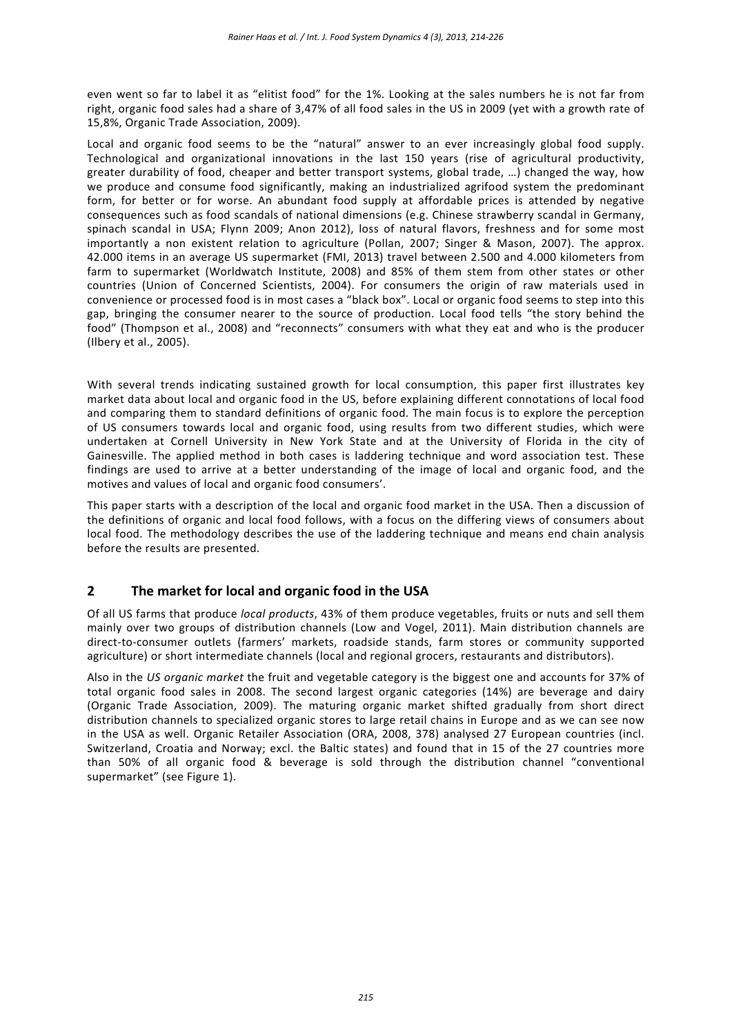even went so far to label it as "elitist food" for the 1%. Looking at the sales numbers he is not far from right, organic food sales had a share of 3,47% of all food sales in the US in 2009 (yet with a growth rate of 15,8%, Organic Trade Association, 2009).

Local and organic food seems to be the "natural" answer to an ever increasingly global food supply. Technological and organizational innovations in the last 150 years (rise of agricultural productivity, greater durability of food, cheaper and better transport systems, global trade, …) changed the way, how we produce and consume food significantly, making an industrialized agrifood system the predominant form, for better or for worse. An abundant food supply at affordable prices is attended by negative consequences such as food scandals of national dimensions (e.g. Chinese strawberry scandal in Germany, spinach scandal in USA; Flynn 2009; Anon 2012), loss of natural flavors, freshness and for some most importantly a non existent relation to agriculture (Pollan, 2007; Singer & Mason, 2007). The approx. 42.000 items in an average US supermarket (FMI, 2013) travel between 2.500 and 4.000 kilometers from farm to supermarket (Worldwatch Institute, 2008) and 85% of them stem from other states or other countries (Union of Concerned Scientists, 2004). For consumers the origin of raw materials used in convenience or processed food is in most cases a "black box". Local or organic food seems to step into this gap, bringing the consumer nearer to the source of production. Local food tells "the story behind the food" (Thompson et al., 2008) and "reconnects" consumers with what they eat and who is the producer (Ilbery et al., 2005).

With several trends indicating sustained growth for local consumption, this paper first illustrates key market data about local and organic food in the US, before explaining different connotations of local food and comparing them to standard definitions of organic food. The main focus is to explore the perception of US consumers towards local and organic food, using results from two different studies, which were undertaken at Cornell University in New York State and at the University of Florida in the city of Gainesville. The applied method in both cases is laddering technique and word association test. These findings are used to arrive at a better understanding of the image of local and organic food, and the motives and values of local and organic food consumers'.

This paper starts with a description of the local and organic food market in the USA. Then a discussion of the definitions of organic and local food follows, with a focus on the differing views of consumers about local food. The methodology describes the use of the laddering technique and means end chain analysis before the results are presented.

## **2 The market for local and organic food in the USA**

Of all US farms that produce *local products*, 43% of them produce vegetables, fruits or nuts and sell them mainly over two groups of distribution channels (Low and Vogel, 2011). Main distribution channels are direct‐to‐consumer outlets (farmers' markets, roadside stands, farm stores or community supported agriculture) or short intermediate channels (local and regional grocers, restaurants and distributors).

Also in the *US organic market* the fruit and vegetable category is the biggest one and accounts for 37% of total organic food sales in 2008. The second largest organic categories (14%) are beverage and dairy (Organic Trade Association, 2009). The maturing organic market shifted gradually from short direct distribution channels to specialized organic stores to large retail chains in Europe and as we can see now in the USA as well. Organic Retailer Association (ORA, 2008, 378) analysed 27 European countries (incl. Switzerland, Croatia and Norway; excl. the Baltic states) and found that in 15 of the 27 countries more than 50% of all organic food & beverage is sold through the distribution channel "conventional supermarket" (see Figure 1).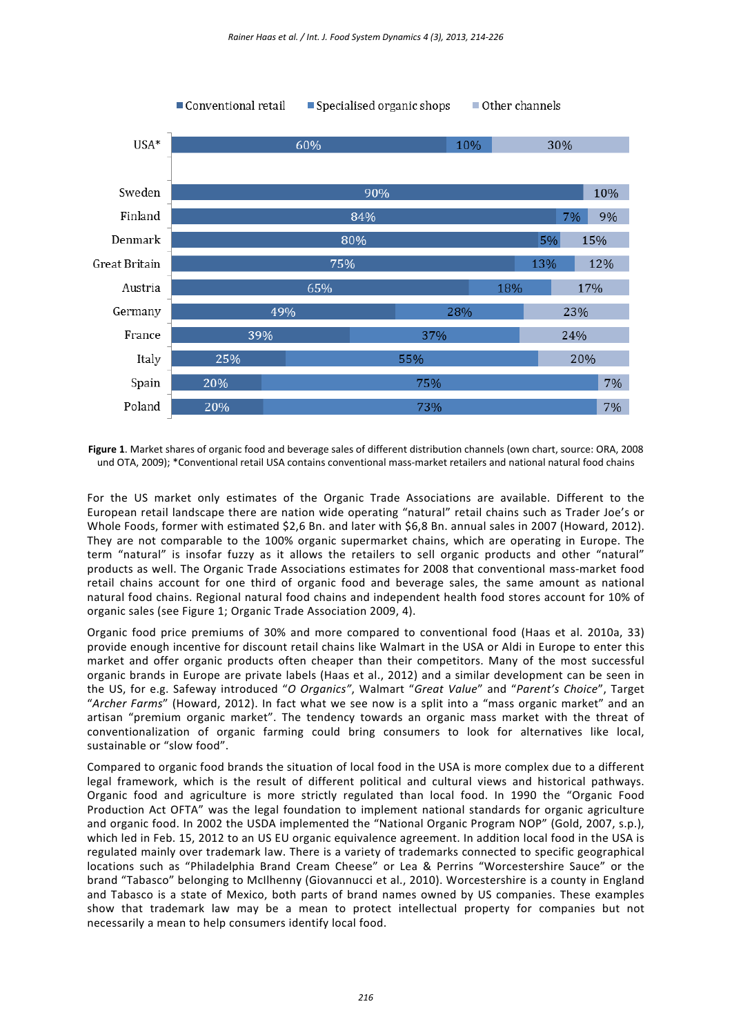

**Figure 1**. Market shares of organic food and beverage sales of different distribution channels (own chart, source: ORA, 2008 und OTA, 2009); \*Conventional retail USA contains conventional mass-market retailers and national natural food chains

For the US market only estimates of the Organic Trade Associations are available. Different to the European retail landscape there are nation wide operating "natural" retail chains such as Trader Joe's or Whole Foods, former with estimated \$2,6 Bn. and later with \$6,8 Bn. annual sales in 2007 (Howard, 2012). They are not comparable to the 100% organic supermarket chains, which are operating in Europe. The term "natural" is insofar fuzzy as it allows the retailers to sell organic products and other "natural" products as well. The Organic Trade Associations estimates for 2008 that conventional mass‐market food retail chains account for one third of organic food and beverage sales, the same amount as national natural food chains. Regional natural food chains and independent health food stores account for 10% of organic sales (see Figure 1; Organic Trade Association 2009, 4).

Organic food price premiums of 30% and more compared to conventional food (Haas et al. 2010a, 33) provide enough incentive for discount retail chains like Walmart in the USA or Aldi in Europe to enter this market and offer organic products often cheaper than their competitors. Many of the most successful organic brands in Europe are private labels (Haas et al., 2012) and a similar development can be seen in the US, for e.g. Safeway introduced "*O Organics"*, Walmart "*Great Value*" and "*Parent's Choice*", Target "*Archer Farms*" (Howard, 2012). In fact what we see now is a split into a "mass organic market" and an artisan "premium organic market". The tendency towards an organic mass market with the threat of conventionalization of organic farming could bring consumers to look for alternatives like local, sustainable or "slow food".

Compared to organic food brands the situation of local food in the USA is more complex due to a different legal framework, which is the result of different political and cultural views and historical pathways. Organic food and agriculture is more strictly regulated than local food. In 1990 the "Organic Food Production Act OFTA" was the legal foundation to implement national standards for organic agriculture and organic food. In 2002 the USDA implemented the "National Organic Program NOP" (Gold, 2007, s.p.), which led in Feb. 15, 2012 to an US EU organic equivalence agreement. In addition local food in the USA is regulated mainly over trademark law. There is a variety of trademarks connected to specific geographical locations such as "Philadelphia Brand Cream Cheese" or Lea & Perrins "Worcestershire Sauce" or the brand "Tabasco" belonging to McIlhenny (Giovannucci et al., 2010). Worcestershire is a county in England and Tabasco is a state of Mexico, both parts of brand names owned by US companies. These examples show that trademark law may be a mean to protect intellectual property for companies but not necessarily a mean to help consumers identify local food.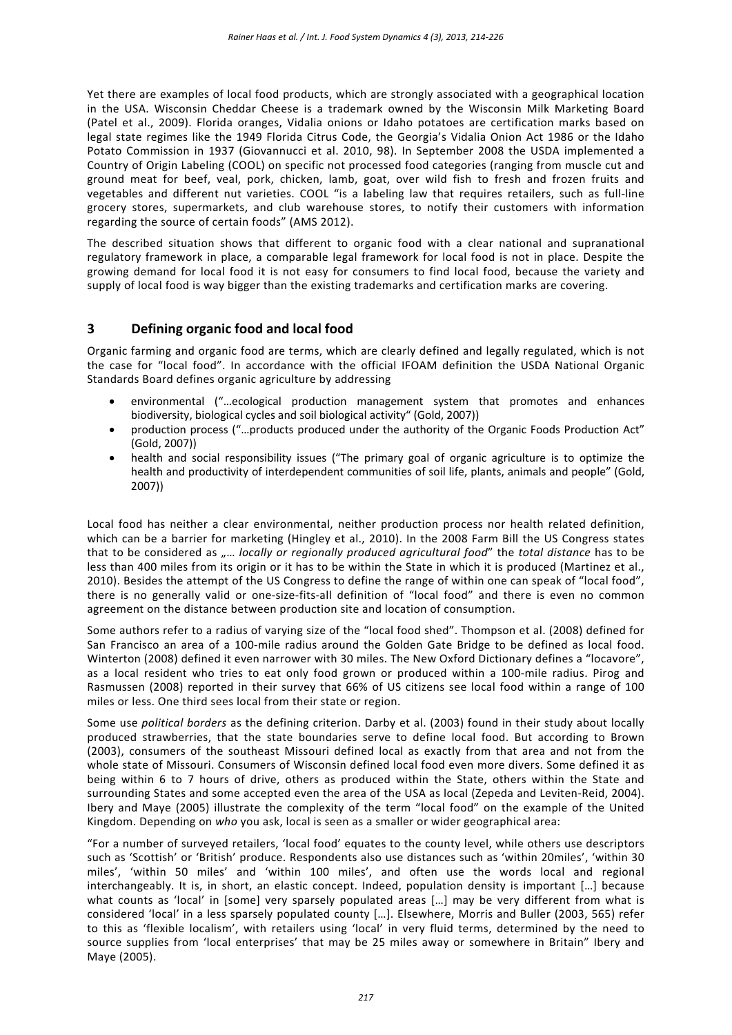Yet there are examples of local food products, which are strongly associated with a geographical location in the USA. Wisconsin Cheddar Cheese is a trademark owned by the Wisconsin Milk Marketing Board (Patel et al., 2009). Florida oranges, Vidalia onions or Idaho potatoes are certification marks based on legal state regimes like the 1949 Florida Citrus Code, the Georgia's Vidalia Onion Act 1986 or the Idaho Potato Commission in 1937 (Giovannucci et al. 2010, 98). In September 2008 the USDA implemented a Country of Origin Labeling (COOL) on specific not processed food categories (ranging from muscle cut and ground meat for beef, veal, pork, chicken, lamb, goat, over wild fish to fresh and frozen fruits and vegetables and different nut varieties. COOL "is a labeling law that requires retailers, such as full-line grocery stores, supermarkets, and club warehouse stores, to notify their customers with information regarding the source of certain foods" (AMS 2012).

The described situation shows that different to organic food with a clear national and supranational regulatory framework in place, a comparable legal framework for local food is not in place. Despite the growing demand for local food it is not easy for consumers to find local food, because the variety and supply of local food is way bigger than the existing trademarks and certification marks are covering.

### **3 Defining organic food and local food**

Organic farming and organic food are terms, which are clearly defined and legally regulated, which is not the case for "local food". In accordance with the official IFOAM definition the USDA National Organic Standards Board defines organic agriculture by addressing

- environmental ("…ecological production management system that promotes and enhances biodiversity, biological cycles and soil biological activity" (Gold, 2007))
- production process ("…products produced under the authority of the Organic Foods Production Act" (Gold, 2007))
- health and social responsibility issues ("The primary goal of organic agriculture is to optimize the health and productivity of interdependent communities of soil life, plants, animals and people" (Gold, 2007))

Local food has neither a clear environmental, neither production process nor health related definition, which can be a barrier for marketing (Hingley et al., 2010). In the 2008 Farm Bill the US Congress states that to be considered as "… *locally or regionally produced agricultural food*" the *total distance* has to be less than 400 miles from its origin or it has to be within the State in which it is produced (Martinez et al., 2010). Besides the attempt of the US Congress to define the range of within one can speak of "local food", there is no generally valid or one-size-fits-all definition of "local food" and there is even no common agreement on the distance between production site and location of consumption.

Some authors refer to a radius of varying size of the "local food shed". Thompson et al. (2008) defined for San Francisco an area of a 100‐mile radius around the Golden Gate Bridge to be defined as local food. Winterton (2008) defined it even narrower with 30 miles. The New Oxford Dictionary defines a "locavore", as a local resident who tries to eat only food grown or produced within a 100-mile radius. Pirog and Rasmussen (2008) reported in their survey that 66% of US citizens see local food within a range of 100 miles or less. One third sees local from their state or region.

Some use *political borders* as the defining criterion. Darby et al. (2003) found in their study about locally produced strawberries, that the state boundaries serve to define local food. But according to Brown (2003), consumers of the southeast Missouri defined local as exactly from that area and not from the whole state of Missouri. Consumers of Wisconsin defined local food even more divers. Some defined it as being within 6 to 7 hours of drive, others as produced within the State, others within the State and surrounding States and some accepted even the area of the USA as local (Zepeda and Leviten‐Reid, 2004). Ibery and Maye (2005) illustrate the complexity of the term "local food" on the example of the United Kingdom. Depending on *who* you ask, local is seen as a smaller or wider geographical area:

"For a number of surveyed retailers, 'local food' equates to the county level, while others use descriptors such as 'Scottish' or 'British' produce. Respondents also use distances such as 'within 20miles', 'within 30 miles', 'within 50 miles' and 'within 100 miles', and often use the words local and regional interchangeably. It is, in short, an elastic concept. Indeed, population density is important […] because what counts as 'local' in [some] very sparsely populated areas […] may be very different from what is considered 'local' in a less sparsely populated county […]. Elsewhere, Morris and Buller (2003, 565) refer to this as 'flexible localism', with retailers using 'local' in very fluid terms, determined by the need to source supplies from 'local enterprises' that may be 25 miles away or somewhere in Britain" Ibery and Maye (2005).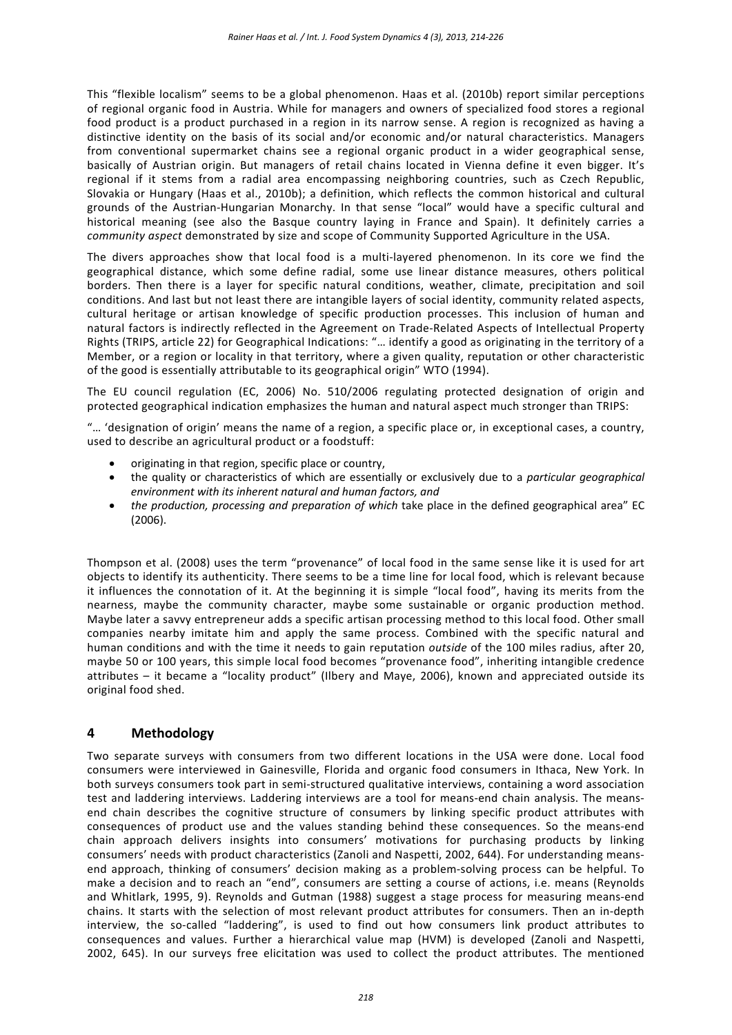This "flexible localism" seems to be a global phenomenon. Haas et al. (2010b) report similar perceptions of regional organic food in Austria. While for managers and owners of specialized food stores a regional food product is a product purchased in a region in its narrow sense. A region is recognized as having a distinctive identity on the basis of its social and/or economic and/or natural characteristics. Managers from conventional supermarket chains see a regional organic product in a wider geographical sense, basically of Austrian origin. But managers of retail chains located in Vienna define it even bigger. It's regional if it stems from a radial area encompassing neighboring countries, such as Czech Republic, Slovakia or Hungary (Haas et al., 2010b); a definition, which reflects the common historical and cultural grounds of the Austrian‐Hungarian Monarchy. In that sense "local" would have a specific cultural and historical meaning (see also the Basque country laying in France and Spain). It definitely carries a *community aspect* demonstrated by size and scope of Community Supported Agriculture in the USA.

The divers approaches show that local food is a multi-layered phenomenon. In its core we find the geographical distance, which some define radial, some use linear distance measures, others political borders. Then there is a layer for specific natural conditions, weather, climate, precipitation and soil conditions. And last but not least there are intangible layers of social identity, community related aspects, cultural heritage or artisan knowledge of specific production processes. This inclusion of human and natural factors is indirectly reflected in the Agreement on Trade‐Related Aspects of Intellectual Property Rights (TRIPS, article 22) for Geographical Indications: "… identify a good as originating in the territory of a Member, or a region or locality in that territory, where a given quality, reputation or other characteristic of the good is essentially attributable to its geographical origin" WTO (1994).

The EU council regulation (EC, 2006) No. 510/2006 regulating protected designation of origin and protected geographical indication emphasizes the human and natural aspect much stronger than TRIPS:

"… 'designation of origin' means the name of a region, a specific place or, in exceptional cases, a country, used to describe an agricultural product or a foodstuff:

- originating in that region, specific place or country,
- the quality or characteristics of which are essentially or exclusively due to a *particular geographical environment with its inherent natural and human factors, and*
- *the production, processing and preparation of which* take place in the defined geographical area" EC (2006).

Thompson et al. (2008) uses the term "provenance" of local food in the same sense like it is used for art objects to identify its authenticity. There seems to be a time line for local food, which is relevant because it influences the connotation of it. At the beginning it is simple "local food", having its merits from the nearness, maybe the community character, maybe some sustainable or organic production method. Maybe later a savvy entrepreneur adds a specific artisan processing method to this local food. Other small companies nearby imitate him and apply the same process. Combined with the specific natural and human conditions and with the time it needs to gain reputation *outside* of the 100 miles radius, after 20, maybe 50 or 100 years, this simple local food becomes "provenance food", inheriting intangible credence attributes – it became a "locality product" (Ilbery and Maye, 2006), known and appreciated outside its original food shed.

## **4 Methodology**

Two separate surveys with consumers from two different locations in the USA were done. Local food consumers were interviewed in Gainesville, Florida and organic food consumers in Ithaca, New York. In both surveys consumers took part in semi‐structured qualitative interviews, containing a word association test and laddering interviews. Laddering interviews are a tool for means-end chain analysis. The meansend chain describes the cognitive structure of consumers by linking specific product attributes with consequences of product use and the values standing behind these consequences. So the means-end chain approach delivers insights into consumers' motivations for purchasing products by linking consumers' needs with product characteristics (Zanoli and Naspetti, 2002, 644). For understanding means‐ end approach, thinking of consumers' decision making as a problem-solving process can be helpful. To make a decision and to reach an "end", consumers are setting a course of actions, i.e. means (Reynolds and Whitlark, 1995, 9). Reynolds and Gutman (1988) suggest a stage process for measuring means‐end chains. It starts with the selection of most relevant product attributes for consumers. Then an in‐depth interview, the so-called "laddering", is used to find out how consumers link product attributes to consequences and values. Further a hierarchical value map (HVM) is developed (Zanoli and Naspetti, 2002, 645). In our surveys free elicitation was used to collect the product attributes. The mentioned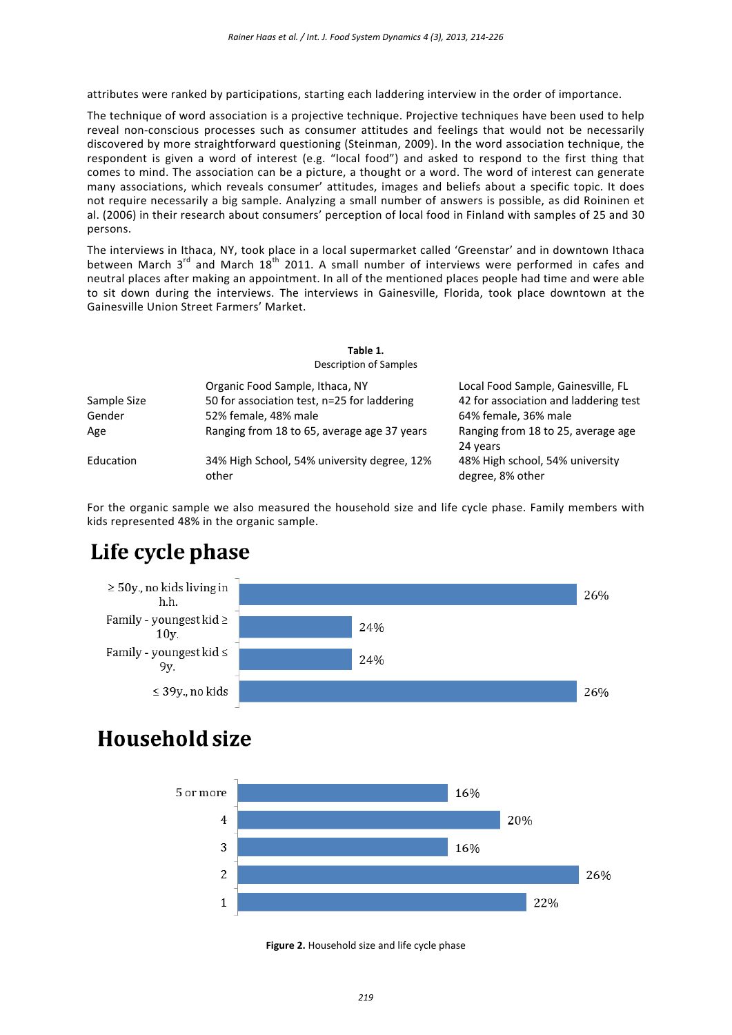attributes were ranked by participations, starting each laddering interview in the order of importance.

The technique of word association is a projective technique. Projective techniques have been used to help reveal non‐conscious processes such as consumer attitudes and feelings that would not be necessarily discovered by more straightforward questioning (Steinman, 2009). In the word association technique, the respondent is given a word of interest (e.g. "local food") and asked to respond to the first thing that comes to mind. The association can be a picture, a thought or a word. The word of interest can generate many associations, which reveals consumer' attitudes, images and beliefs about a specific topic. It does not require necessarily a big sample. Analyzing a small number of answers is possible, as did Roininen et al. (2006) in their research about consumers' perception of local food in Finland with samples of 25 and 30 persons.

The interviews in Ithaca, NY, took place in a local supermarket called 'Greenstar' and in downtown Ithaca between March  $3^{rd}$  and March  $18^{th}$  2011. A small number of interviews were performed in cafes and neutral places after making an appointment. In all of the mentioned places people had time and were able to sit down during the interviews. The interviews in Gainesville, Florida, took place downtown at the Gainesville Union Street Farmers' Market.

| <b>Description of Samples</b> |                                                                                |                                                                             |  |  |  |
|-------------------------------|--------------------------------------------------------------------------------|-----------------------------------------------------------------------------|--|--|--|
| Sample Size                   | Organic Food Sample, Ithaca, NY<br>50 for association test, n=25 for laddering | Local Food Sample, Gainesville, FL<br>42 for association and laddering test |  |  |  |
| Gender                        | 52% female, 48% male                                                           | 64% female, 36% male                                                        |  |  |  |
| Age                           | Ranging from 18 to 65, average age 37 years                                    | Ranging from 18 to 25, average age<br>24 years                              |  |  |  |
| Education                     | 34% High School, 54% university degree, 12%<br>other                           | 48% High school, 54% university<br>degree, 8% other                         |  |  |  |

**Table 1.**

For the organic sample we also measured the household size and life cycle phase. Family members with kids represented 48% in the organic sample.

# Life cycle phase



## Household size



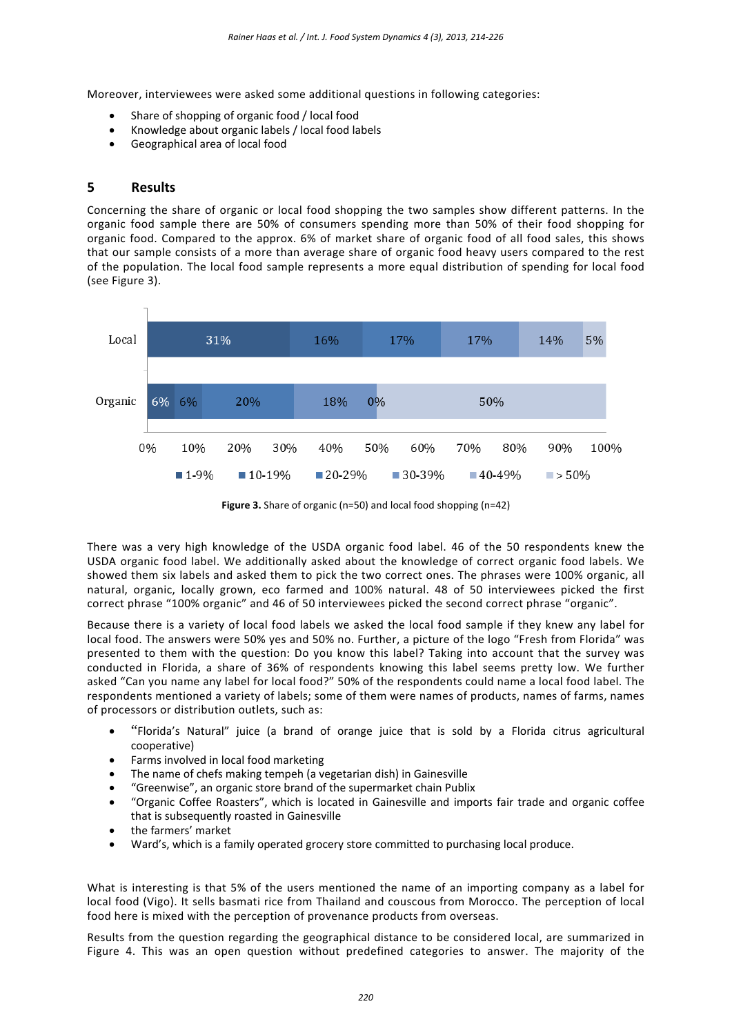Moreover, interviewees were asked some additional questions in following categories:

- Share of shopping of organic food / local food
- Knowledge about organic labels / local food labels
- Geographical area of local food

### **5 Results**

Concerning the share of organic or local food shopping the two samples show different patterns. In the organic food sample there are 50% of consumers spending more than 50% of their food shopping for organic food. Compared to the approx. 6% of market share of organic food of all food sales, this shows that our sample consists of a more than average share of organic food heavy users compared to the rest of the population. The local food sample represents a more equal distribution of spending for local food (see Figure 3).



**Figure 3.** Share of organic (n=50) and local food shopping (n=42)

There was a very high knowledge of the USDA organic food label. 46 of the 50 respondents knew the USDA organic food label. We additionally asked about the knowledge of correct organic food labels. We showed them six labels and asked them to pick the two correct ones. The phrases were 100% organic, all natural, organic, locally grown, eco farmed and 100% natural. 48 of 50 interviewees picked the first correct phrase "100% organic" and 46 of 50 interviewees picked the second correct phrase "organic".

Because there is a variety of local food labels we asked the local food sample if they knew any label for local food. The answers were 50% yes and 50% no. Further, a picture of the logo "Fresh from Florida" was presented to them with the question: Do you know this label? Taking into account that the survey was conducted in Florida, a share of 36% of respondents knowing this label seems pretty low. We further asked "Can you name any label for local food?" 50% of the respondents could name a local food label. The respondents mentioned a variety of labels; some of them were names of products, names of farms, names of processors or distribution outlets, such as:

- "Florida's Natural" juice (a brand of orange juice that is sold by a Florida citrus agricultural cooperative)
- Farms involved in local food marketing
- The name of chefs making tempeh (a vegetarian dish) in Gainesville
- "Greenwise", an organic store brand of the supermarket chain Publix
- "Organic Coffee Roasters", which is located in Gainesville and imports fair trade and organic coffee that is subsequently roasted in Gainesville
- the farmers' market
- Ward's, which is a family operated grocery store committed to purchasing local produce.

What is interesting is that 5% of the users mentioned the name of an importing company as a label for local food (Vigo). It sells basmati rice from Thailand and couscous from Morocco. The perception of local food here is mixed with the perception of provenance products from overseas.

Results from the question regarding the geographical distance to be considered local, are summarized in Figure 4. This was an open question without predefined categories to answer. The majority of the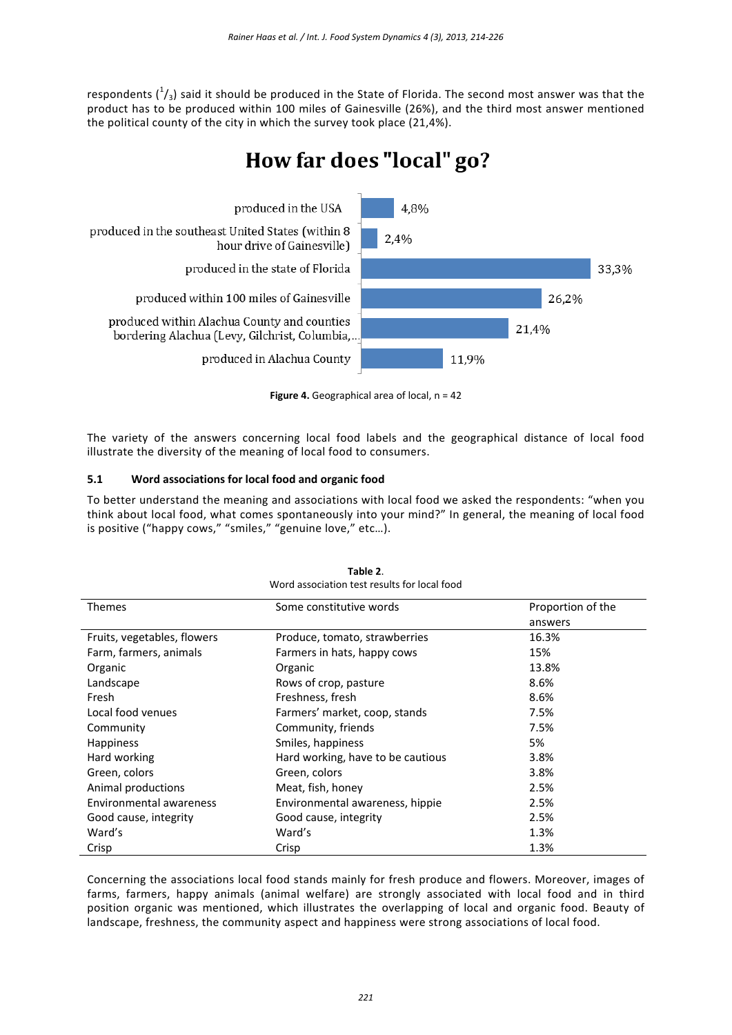respondents  $({}^{1}_{3})$  said it should be produced in the State of Florida. The second most answer was that the product has to be produced within 100 miles of Gainesville (26%), and the third most answer mentioned the political county of the city in which the survey took place (21,4%).

# How far does "local" go?



**Figure 4.** Geographical area of local, n = 42

The variety of the answers concerning local food labels and the geographical distance of local food illustrate the diversity of the meaning of local food to consumers.

### **5.1 Word associations for local food and organic food**

To better understand the meaning and associations with local food we asked the respondents: "when you think about local food, what comes spontaneously into your mind?" In general, the meaning of local food is positive ("happy cows," "smiles," "genuine love," etc...).

| Word association test results for local food |                                   |                   |  |  |
|----------------------------------------------|-----------------------------------|-------------------|--|--|
| <b>Themes</b>                                | Some constitutive words           | Proportion of the |  |  |
|                                              |                                   | answers           |  |  |
| Fruits, vegetables, flowers                  | Produce, tomato, strawberries     | 16.3%             |  |  |
| Farm, farmers, animals                       | Farmers in hats, happy cows       | 15%               |  |  |
| Organic                                      | Organic                           | 13.8%             |  |  |
| Landscape                                    | Rows of crop, pasture             | 8.6%              |  |  |
| Fresh                                        | Freshness, fresh                  | 8.6%              |  |  |
| Local food venues                            | Farmers' market, coop, stands     | 7.5%              |  |  |
| Community                                    | Community, friends                | 7.5%              |  |  |
| <b>Happiness</b>                             | Smiles, happiness                 | 5%                |  |  |
| Hard working                                 | Hard working, have to be cautious | 3.8%              |  |  |
| Green, colors                                | Green, colors                     | 3.8%              |  |  |
| Animal productions                           | Meat, fish, honey                 | 2.5%              |  |  |
| <b>Environmental awareness</b>               | Environmental awareness, hippie   | 2.5%              |  |  |
| Good cause, integrity                        | Good cause, integrity             | 2.5%              |  |  |
| Ward's                                       | Ward's                            | 1.3%              |  |  |
| Crisp                                        | Crisp                             | 1.3%              |  |  |

| Table 2.                                     |  |
|----------------------------------------------|--|
| Word association test results for local food |  |

Concerning the associations local food stands mainly for fresh produce and flowers. Moreover, images of farms, farmers, happy animals (animal welfare) are strongly associated with local food and in third position organic was mentioned, which illustrates the overlapping of local and organic food. Beauty of landscape, freshness, the community aspect and happiness were strong associations of local food.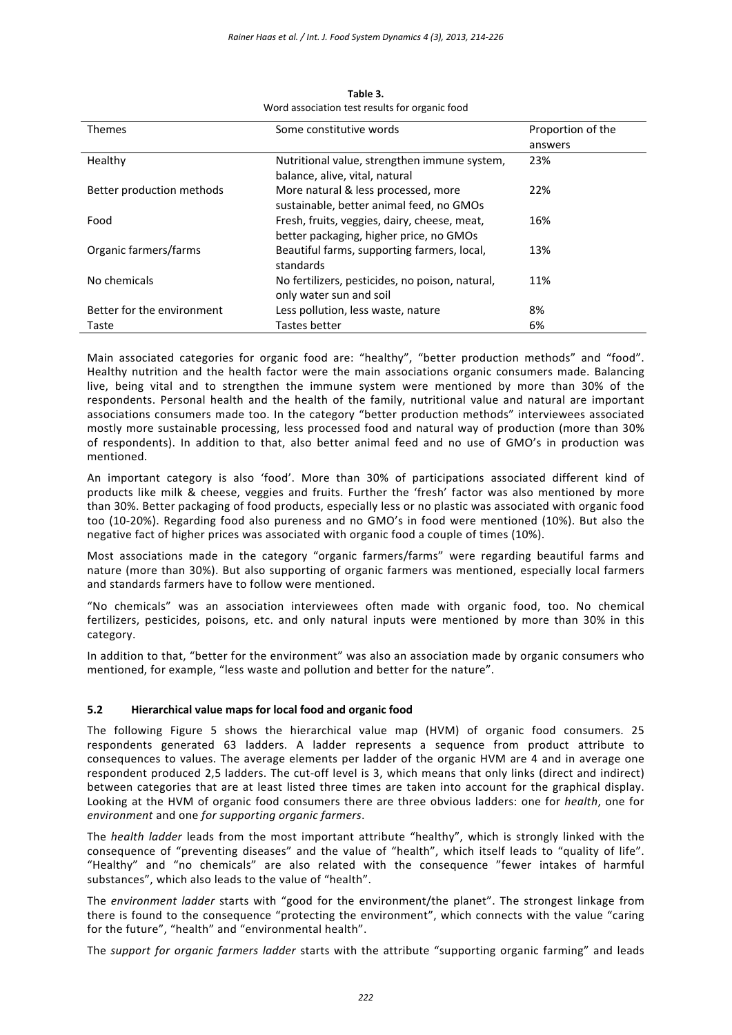| <b>Themes</b>              | Some constitutive words                                                                 | Proportion of the |
|----------------------------|-----------------------------------------------------------------------------------------|-------------------|
|                            |                                                                                         | answers           |
| Healthy                    | Nutritional value, strengthen immune system,<br>balance, alive, vital, natural          | 23%               |
| Better production methods  | More natural & less processed, more<br>sustainable, better animal feed, no GMOs         | 22%               |
| Food                       | Fresh, fruits, veggies, dairy, cheese, meat,<br>better packaging, higher price, no GMOs | 16%               |
| Organic farmers/farms      | Beautiful farms, supporting farmers, local,<br>standards                                | 13%               |
| No chemicals               | No fertilizers, pesticides, no poison, natural,<br>only water sun and soil              | 11%               |
| Better for the environment | Less pollution, less waste, nature                                                      | 8%                |
| Taste                      | Tastes better                                                                           | 6%                |

**Table 3.** Word association test results for organic food

Main associated categories for organic food are: "healthy", "better production methods" and "food". Healthy nutrition and the health factor were the main associations organic consumers made. Balancing live, being vital and to strengthen the immune system were mentioned by more than 30% of the respondents. Personal health and the health of the family, nutritional value and natural are important associations consumers made too. In the category "better production methods" interviewees associated mostly more sustainable processing, less processed food and natural way of production (more than 30% of respondents). In addition to that, also better animal feed and no use of GMO's in production was mentioned.

An important category is also 'food'. More than 30% of participations associated different kind of products like milk & cheese, veggies and fruits. Further the 'fresh' factor was also mentioned by more than 30%. Better packaging of food products, especially less or no plastic was associated with organic food too (10‐20%). Regarding food also pureness and no GMO's in food were mentioned (10%). But also the negative fact of higher prices was associated with organic food a couple of times (10%).

Most associations made in the category "organic farmers/farms" were regarding beautiful farms and nature (more than 30%). But also supporting of organic farmers was mentioned, especially local farmers and standards farmers have to follow were mentioned.

"No chemicals" was an association interviewees often made with organic food, too. No chemical fertilizers, pesticides, poisons, etc. and only natural inputs were mentioned by more than 30% in this category.

In addition to that, "better for the environment" was also an association made by organic consumers who mentioned, for example, "less waste and pollution and better for the nature".

### **5.2 Hierarchical value maps for local food and organic food**

The following Figure 5 shows the hierarchical value map (HVM) of organic food consumers. 25 respondents generated 63 ladders. A ladder represents a sequence from product attribute to consequences to values. The average elements per ladder of the organic HVM are 4 and in average one respondent produced 2,5 ladders. The cut‐off level is 3, which means that only links (direct and indirect) between categories that are at least listed three times are taken into account for the graphical display. Looking at the HVM of organic food consumers there are three obvious ladders: one for *health*, one for *environment* and one *for supporting organic farmers*.

The *health ladder* leads from the most important attribute "healthy", which is strongly linked with the consequence of "preventing diseases" and the value of "health", which itself leads to "quality of life". "Healthy" and "no chemicals" are also related with the consequence "fewer intakes of harmful substances", which also leads to the value of "health".

The *environment ladder* starts with "good for the environment/the planet". The strongest linkage from there is found to the consequence "protecting the environment", which connects with the value "caring for the future", "health" and "environmental health".

The *support for organic farmers ladder* starts with the attribute "supporting organic farming" and leads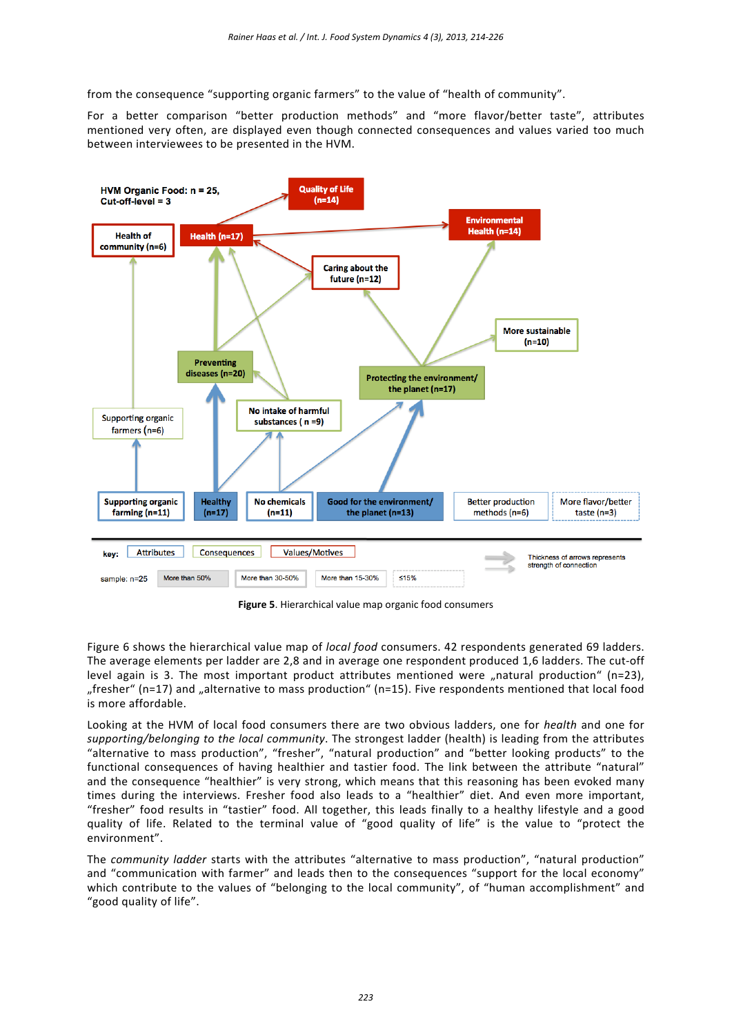from the consequence "supporting organic farmers" to the value of "health of community".

For a better comparison "better production methods" and "more flavor/better taste", attributes mentioned very often, are displayed even though connected consequences and values varied too much between interviewees to be presented in the HVM.



**Figure 5**. Hierarchical value map organic food consumers

Figure 6 shows the hierarchical value map of *local food* consumers. 42 respondents generated 69 ladders. The average elements per ladder are 2,8 and in average one respondent produced 1,6 ladders. The cut‐off level again is 3. The most important product attributes mentioned were "natural production" (n=23), "fresher" (n=17) and "alternative to mass production" (n=15). Five respondents mentioned that local food is more affordable.

Looking at the HVM of local food consumers there are two obvious ladders, one for *health* and one for *supporting/belonging to the local community*. The strongest ladder (health) is leading from the attributes "alternative to mass production", "fresher", "natural production" and "better looking products" to the functional consequences of having healthier and tastier food. The link between the attribute "natural" and the consequence "healthier" is very strong, which means that this reasoning has been evoked many times during the interviews. Fresher food also leads to a "healthier" diet. And even more important, "fresher" food results in "tastier" food. All together, this leads finally to a healthy lifestyle and a good quality of life. Related to the terminal value of "good quality of life" is the value to "protect the environment".

The *community ladder* starts with the attributes "alternative to mass production", "natural production" and "communication with farmer" and leads then to the consequences "support for the local economy" which contribute to the values of "belonging to the local community", of "human accomplishment" and "good quality of life".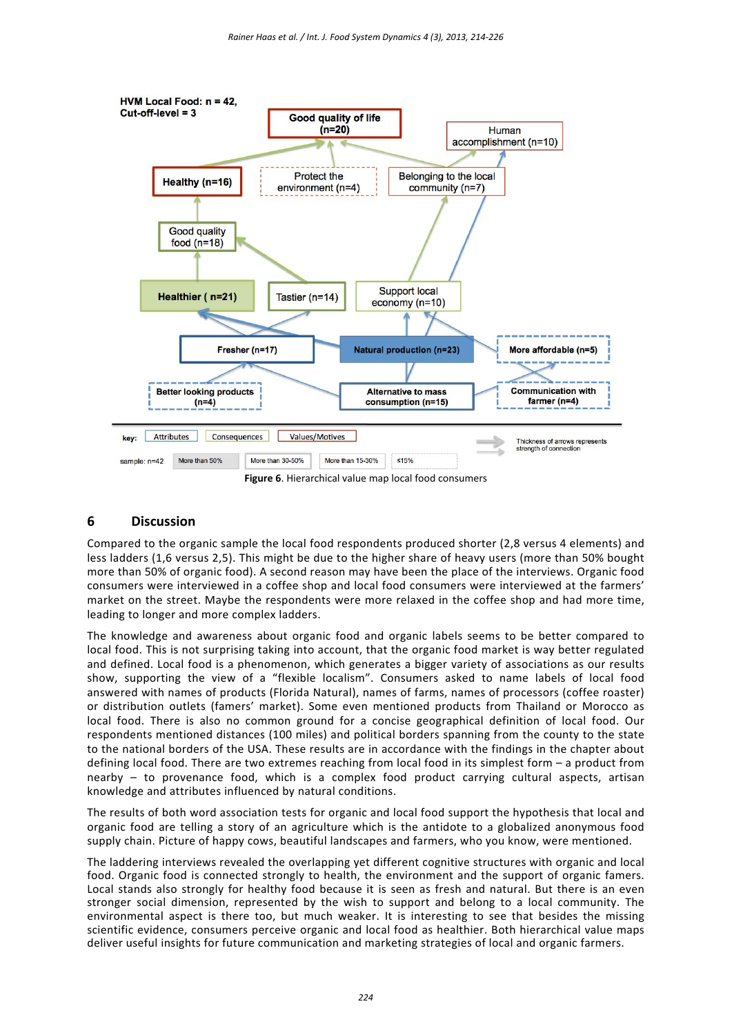

### **6 Discussion**

Compared to the organic sample the local food respondents produced shorter (2,8 versus 4 elements) and less ladders (1,6 versus 2,5). This might be due to the higher share of heavy users (more than 50% bought more than 50% of organic food). A second reason may have been the place of the interviews. Organic food consumers were interviewed in a coffee shop and local food consumers were interviewed at the farmers' market on the street. Maybe the respondents were more relaxed in the coffee shop and had more time, leading to longer and more complex ladders.

The knowledge and awareness about organic food and organic labels seems to be better compared to local food. This is not surprising taking into account, that the organic food market is way better regulated and defined. Local food is a phenomenon, which generates a bigger variety of associations as our results show, supporting the view of a "flexible localism". Consumers asked to name labels of local food answered with names of products (Florida Natural), names of farms, names of processors (coffee roaster) or distribution outlets (famers' market). Some even mentioned products from Thailand or Morocco as local food. There is also no common ground for a concise geographical definition of local food. Our respondents mentioned distances (100 miles) and political borders spanning from the county to the state to the national borders of the USA. These results are in accordance with the findings in the chapter about defining local food. There are two extremes reaching from local food in its simplest form – a product from nearby – to provenance food, which is a complex food product carrying cultural aspects, artisan knowledge and attributes influenced by natural conditions.

The results of both word association tests for organic and local food support the hypothesis that local and organic food are telling a story of an agriculture which is the antidote to a globalized anonymous food supply chain. Picture of happy cows, beautiful landscapes and farmers, who you know, were mentioned.

The laddering interviews revealed the overlapping yet different cognitive structures with organic and local food. Organic food is connected strongly to health, the environment and the support of organic famers. Local stands also strongly for healthy food because it is seen as fresh and natural. But there is an even stronger social dimension, represented by the wish to support and belong to a local community. The environmental aspect is there too, but much weaker. It is interesting to see that besides the missing scientific evidence, consumers perceive organic and local food as healthier. Both hierarchical value maps deliver useful insights for future communication and marketing strategies of local and organic farmers.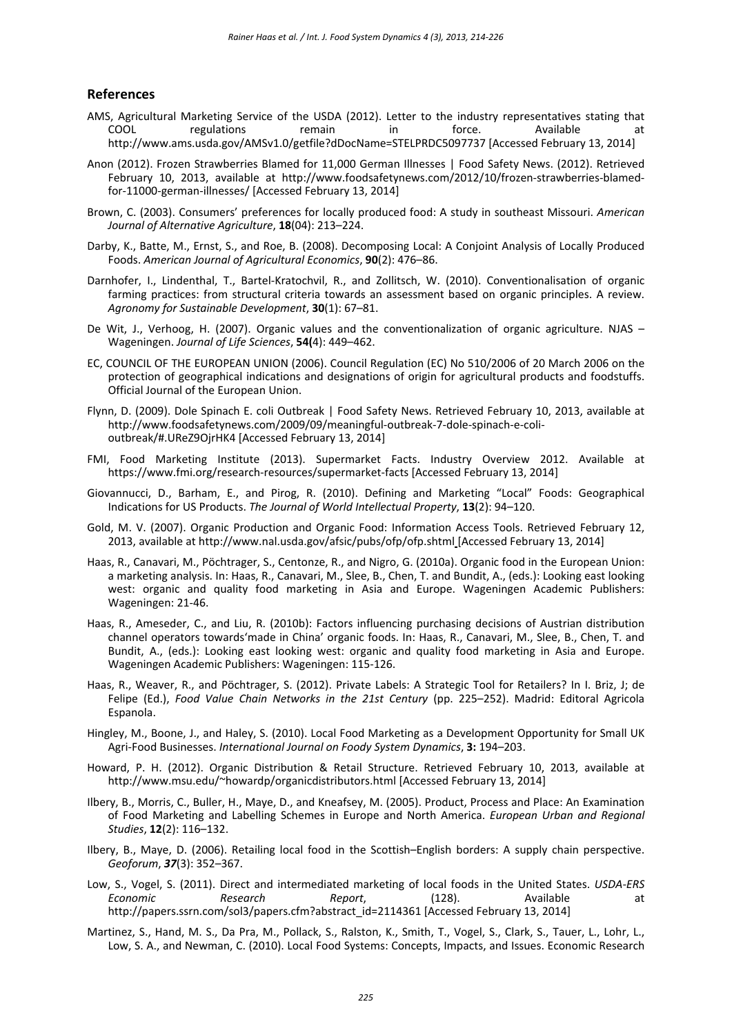#### **References**

- AMS, Agricultural Marketing Service of the USDA (2012). Letter to the industry representatives stating that COOL regulations remain in force. Available http://www.ams.usda.gov/AMSv1.0/getfile?dDocName=STELPRDC5097737 [Accessed February 13, 2014]
- Anon (2012). Frozen Strawberries Blamed for 11,000 German Illnesses | Food Safety News. (2012). Retrieved February 10, 2013, available at http://www.foodsafetynews.com/2012/10/frozen-strawberries-blamedfor‐11000‐german‐illnesses/ [Accessed February 13, 2014]
- Brown, C. (2003). Consumers' preferences for locally produced food: A study in southeast Missouri. *American Journal of Alternative Agriculture*, **18**(04): 213–224.
- Darby, K., Batte, M., Ernst, S., and Roe, B. (2008). Decomposing Local: A Conjoint Analysis of Locally Produced Foods. *American Journal of Agricultural Economics*, **90**(2): 476–86.
- Darnhofer, I., Lindenthal, T., Bartel-Kratochvil, R., and Zollitsch, W. (2010). Conventionalisation of organic farming practices: from structural criteria towards an assessment based on organic principles. A review. *Agronomy for Sustainable Development*, **30**(1): 67–81.
- De Wit, J., Verhoog, H. (2007). Organic values and the conventionalization of organic agriculture. NJAS -Wageningen. *Journal of Life Sciences*, **54(**4): 449–462.
- EC, COUNCIL OF THE EUROPEAN UNION (2006). Council Regulation (EC) No 510/2006 of 20 March 2006 on the protection of geographical indications and designations of origin for agricultural products and foodstuffs. Official Journal of the European Union.
- Flynn, D. (2009). Dole Spinach E. coli Outbreak | Food Safety News. Retrieved February 10, 2013, available at http://www.foodsafetynews.com/2009/09/meaningful‐outbreak‐7‐dole‐spinach‐e‐coli‐ outbreak/#.UReZ9OjrHK4 [Accessed February 13, 2014]
- FMI, Food Marketing Institute (2013). Supermarket Facts. Industry Overview 2012. Available at https://www.fmi.org/research‐resources/supermarket‐facts [Accessed February 13, 2014]
- Giovannucci, D., Barham, E., and Pirog, R. (2010). Defining and Marketing "Local" Foods: Geographical Indications for US Products. *The Journal of World Intellectual Property*, **13**(2): 94–120.
- Gold, M. V. (2007). Organic Production and Organic Food: Information Access Tools. Retrieved February 12, 2013, available at http://www.nal.usda.gov/afsic/pubs/ofp/ofp.shtml [Accessed February 13, 2014]
- Haas, R., Canavari, M., Pöchtrager, S., Centonze, R., and Nigro, G. (2010a). Organic food in the European Union: a marketing analysis. In: Haas, R., Canavari, M., Slee, B., Chen, T. and Bundit, A., (eds.): Looking east looking west: organic and quality food marketing in Asia and Europe. Wageningen Academic Publishers: Wageningen: 21‐46.
- Haas, R., Ameseder, C., and Liu, R. (2010b): Factors influencing purchasing decisions of Austrian distribution channel operators towards'made in China' organic foods. In: Haas, R., Canavari, M., Slee, B., Chen, T. and Bundit, A., (eds.): Looking east looking west: organic and quality food marketing in Asia and Europe. Wageningen Academic Publishers: Wageningen: 115‐126.
- Haas, R., Weaver, R., and Pöchtrager, S. (2012). Private Labels: A Strategic Tool for Retailers? In I. Briz, J; de Felipe (Ed.), *Food Value Chain Networks in the 21st Century* (pp. 225–252). Madrid: Editoral Agricola Espanola.
- Hingley, M., Boone, J., and Haley, S. (2010). Local Food Marketing as a Development Opportunity for Small UK Agri‐Food Businesses. *International Journal on Foody System Dynamics*, **3:** 194–203.
- Howard, P. H. (2012). Organic Distribution & Retail Structure. Retrieved February 10, 2013, available at http://www.msu.edu/~howardp/organicdistributors.html [Accessed February 13, 2014]
- Ilbery, B., Morris, C., Buller, H., Maye, D., and Kneafsey, M. (2005). Product, Process and Place: An Examination of Food Marketing and Labelling Schemes in Europe and North America. *European Urban and Regional Studies*, **12**(2): 116–132.
- Ilbery, B., Maye, D. (2006). Retailing local food in the Scottish–English borders: A supply chain perspective. *Geoforum*, *37*(3): 352–367.
- Low, S., Vogel, S. (2011). Direct and intermediated marketing of local foods in the United States. *USDA‐ERS Economic Research Report*, (128). Available at http://papers.ssrn.com/sol3/papers.cfm?abstract\_id=2114361 [Accessed February 13, 2014]
- Martinez, S., Hand, M. S., Da Pra, M., Pollack, S., Ralston, K., Smith, T., Vogel, S., Clark, S., Tauer, L., Lohr, L., Low, S. A., and Newman, C. (2010). Local Food Systems: Concepts, Impacts, and Issues. Economic Research